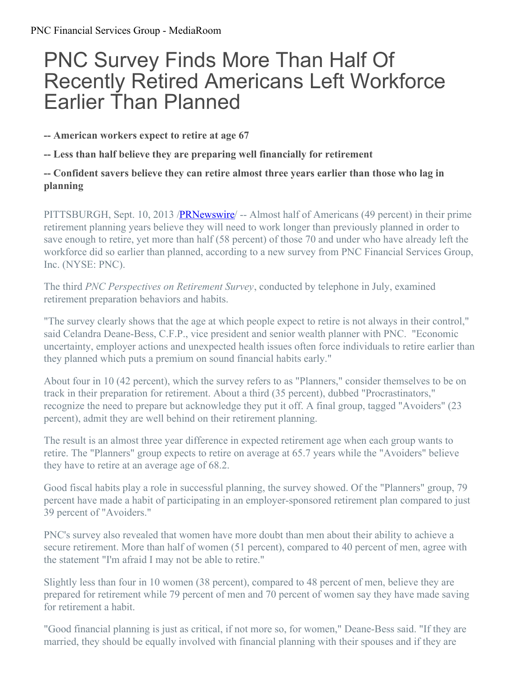# PNC Survey Finds More Than Half Of Recently Retired Americans Left Workforce Earlier Than Planned

**-- American workers expect to retire at age 67**

**-- Less than half believe they are preparing well financially for retirement**

## **-- Confident savers believe they can retire almost three years earlier than those who lag in planning**

PITTSBURGH, Sept. 10, 2013 /**PRNewswire** – Almost half of Americans (49 percent) in their prime retirement planning years believe they will need to work longer than previously planned in order to save enough to retire, yet more than half (58 percent) of those 70 and under who have already left the workforce did so earlier than planned, according to a new survey from PNC Financial Services Group, Inc. (NYSE: PNC).

The third *PNC Perspectives on Retirement Survey*, conducted by telephone in July, examined retirement preparation behaviors and habits.

"The survey clearly shows that the age at which people expect to retire is not always in their control," said Celandra Deane-Bess, C.F.P., vice president and senior wealth planner with PNC. "Economic uncertainty, employer actions and unexpected health issues often force individuals to retire earlier than they planned which puts a premium on sound financial habits early."

About four in 10 (42 percent), which the survey refers to as "Planners," consider themselves to be on track in their preparation for retirement. About a third (35 percent), dubbed "Procrastinators," recognize the need to prepare but acknowledge they put it off. A final group, tagged "Avoiders" (23 percent), admit they are well behind on their retirement planning.

The result is an almost three year difference in expected retirement age when each group wants to retire. The "Planners" group expects to retire on average at 65.7 years while the "Avoiders" believe they have to retire at an average age of 68.2.

Good fiscal habits play a role in successful planning, the survey showed. Of the "Planners" group, 79 percent have made a habit of participating in an employer-sponsored retirement plan compared to just 39 percent of "Avoiders."

PNC's survey also revealed that women have more doubt than men about their ability to achieve a secure retirement. More than half of women (51 percent), compared to 40 percent of men, agree with the statement "I'm afraid I may not be able to retire."

Slightly less than four in 10 women (38 percent), compared to 48 percent of men, believe they are prepared for retirement while 79 percent of men and 70 percent of women say they have made saving for retirement a habit.

"Good financial planning is just as critical, if not more so, for women," Deane-Bess said. "If they are married, they should be equally involved with financial planning with their spouses and if they are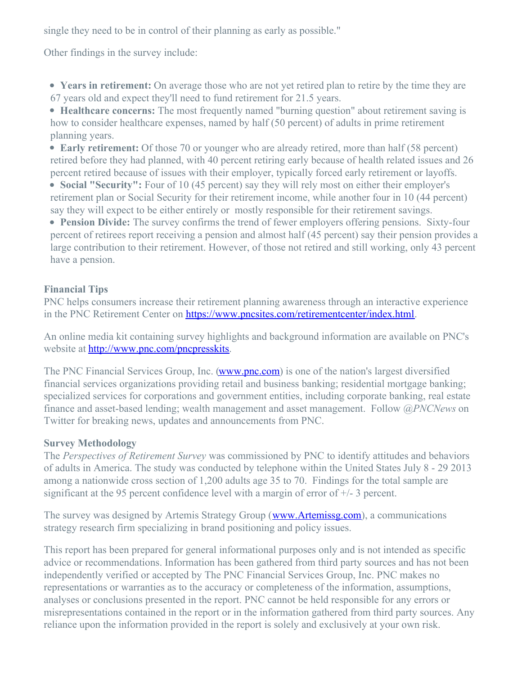single they need to be in control of their planning as early as possible."

Other findings in the survey include:

**Years in retirement:** On average those who are not yet retired plan to retire by the time they are 67 years old and expect they'll need to fund retirement for 21.5 years.

**Healthcare concerns:** The most frequently named "burning question" about retirement saving is how to consider healthcare expenses, named by half (50 percent) of adults in prime retirement planning years.

**Early retirement:** Of those 70 or younger who are already retired, more than half (58 percent) retired before they had planned, with 40 percent retiring early because of health related issues and 26 percent retired because of issues with their employer, typically forced early retirement or layoffs.

**Social "Security":** Four of 10 (45 percent) say they will rely most on either their employer's retirement plan or Social Security for their retirement income, while another four in 10 (44 percent) say they will expect to be either entirely or mostly responsible for their retirement savings.

**Pension Divide:** The survey confirms the trend of fewer employers offering pensions. Sixty-four percent of retirees report receiving a pension and almost half (45 percent) say their pension provides a large contribution to their retirement. However, of those not retired and still working, only 43 percent have a pension.

#### **Financial Tips**

PNC helps consumers increase their retirement planning awareness through an interactive experience in the PNC Retirement Center on <https://www.pncsites.com/retirementcenter/index.html>.

An online media kit containing survey highlights and background information are available on PNC's website at <http://www.pnc.com/pncpresskits>.

The PNC Financial Services Group, Inc. [\(www.pnc.com](http://www.pnc.com/)) is one of the nation's largest diversified financial services organizations providing retail and business banking; residential mortgage banking; specialized services for corporations and government entities, including corporate banking, real estate finance and asset-based lending; wealth management and asset management. Follow *@PNCNews* on Twitter for breaking news, updates and announcements from PNC.

## **Survey Methodology**

The *Perspectives of Retirement Survey* was commissioned by PNC to identify attitudes and behaviors of adults in America. The study was conducted by telephone within the United States July 8 - 29 2013 among a nationwide cross section of 1,200 adults age 35 to 70. Findings for the total sample are significant at the 95 percent confidence level with a margin of error of  $+/- 3$  percent.

The survey was designed by Artemis Strategy Group ([www.Artemissg.com](http://www.artemissg.com/)), a communications strategy research firm specializing in brand positioning and policy issues.

This report has been prepared for general informational purposes only and is not intended as specific advice or recommendations. Information has been gathered from third party sources and has not been independently verified or accepted by The PNC Financial Services Group, Inc. PNC makes no representations or warranties as to the accuracy or completeness of the information, assumptions, analyses or conclusions presented in the report. PNC cannot be held responsible for any errors or misrepresentations contained in the report or in the information gathered from third party sources. Any reliance upon the information provided in the report is solely and exclusively at your own risk.